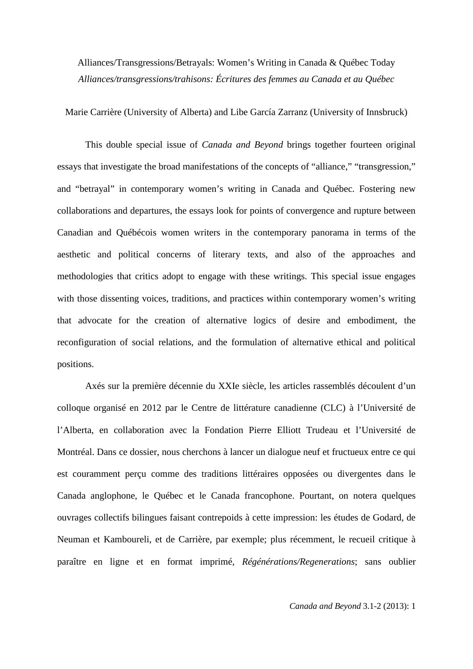Alliances/Transgressions/Betrayals: Women's Writing in Canada & Québec Today *Alliances/transgressions/trahisons: Écritures des femmes au Canada et au Québec*

Marie Carrière (University of Alberta) and Libe García Zarranz (University of Innsbruck)

This double special issue of *Canada and Beyond* brings together fourteen original essays that investigate the broad manifestations of the concepts of "alliance," "transgression," and "betrayal" in contemporary women's writing in Canada and Québec. Fostering new collaborations and departures, the essays look for points of convergence and rupture between Canadian and Québécois women writers in the contemporary panorama in terms of the aesthetic and political concerns of literary texts, and also of the approaches and methodologies that critics adopt to engage with these writings. This special issue engages with those dissenting voices, traditions, and practices within contemporary women's writing that advocate for the creation of alternative logics of desire and embodiment, the reconfiguration of social relations, and the formulation of alternative ethical and political positions.

Axés sur la première décennie du XXIe siècle, les articles rassemblés découlent d'un colloque organisé en 2012 par le Centre de littérature canadienne (CLC) à l'Université de l'Alberta, en collaboration avec la Fondation Pierre Elliott Trudeau et l'Université de Montréal. Dans ce dossier, nous cherchons à lancer un dialogue neuf et fructueux entre ce qui est couramment perçu comme des traditions littéraires opposées ou divergentes dans le Canada anglophone, le Québec et le Canada francophone. Pourtant, on notera quelques ouvrages collectifs bilingues faisant contrepoids à cette impression: les études de Godard, de Neuman et Kamboureli, et de Carrière, par exemple; plus récemment, le recueil critique à paraître en ligne et en format imprimé, *Régénérations/Regenerations*; sans oublier

*Canada and Beyond* 3.1-2 (2013): 1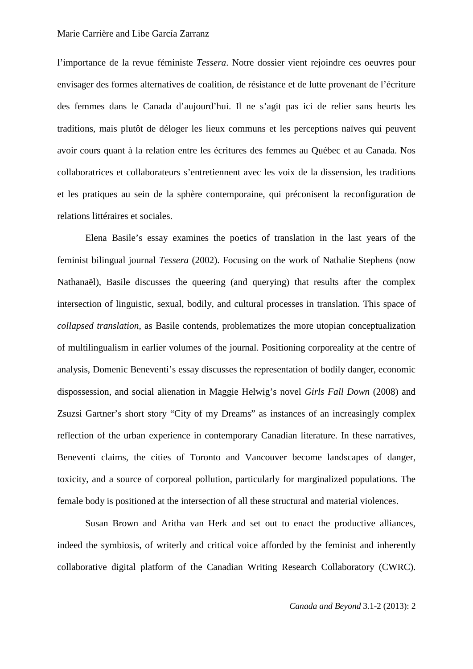l'importance de la revue féministe *Tessera*. Notre dossier vient rejoindre ces oeuvres pour envisager des formes alternatives de coalition, de résistance et de lutte provenant de l'écriture des femmes dans le Canada d'aujourd'hui. Il ne s'agit pas ici de relier sans heurts les traditions, mais plutôt de déloger les lieux communs et les perceptions naïves qui peuvent avoir cours quant à la relation entre les écritures des femmes au Québec et au Canada. Nos collaboratrices et collaborateurs s'entretiennent avec les voix de la dissension, les traditions et les pratiques au sein de la sphère contemporaine, qui préconisent la reconfiguration de relations littéraires et sociales.

Elena Basile's essay examines the poetics of translation in the last years of the feminist bilingual journal *Tessera* (2002). Focusing on the work of Nathalie Stephens (now Nathanaël), Basile discusses the queering (and querying) that results after the complex intersection of linguistic, sexual, bodily, and cultural processes in translation. This space of *collapsed translation*, as Basile contends, problematizes the more utopian conceptualization of multilingualism in earlier volumes of the journal. Positioning corporeality at the centre of analysis, Domenic Beneventi's essay discusses the representation of bodily danger, economic dispossession, and social alienation in Maggie Helwig's novel *Girls Fall Down* (2008) and Zsuzsi Gartner's short story "City of my Dreams" as instances of an increasingly complex reflection of the urban experience in contemporary Canadian literature. In these narratives, Beneventi claims, the cities of Toronto and Vancouver become landscapes of danger, toxicity, and a source of corporeal pollution, particularly for marginalized populations. The female body is positioned at the intersection of all these structural and material violences.

Susan Brown and Aritha van Herk and set out to enact the productive alliances, indeed the symbiosis, of writerly and critical voice afforded by the feminist and inherently collaborative digital platform of the Canadian Writing Research Collaboratory (CWRC).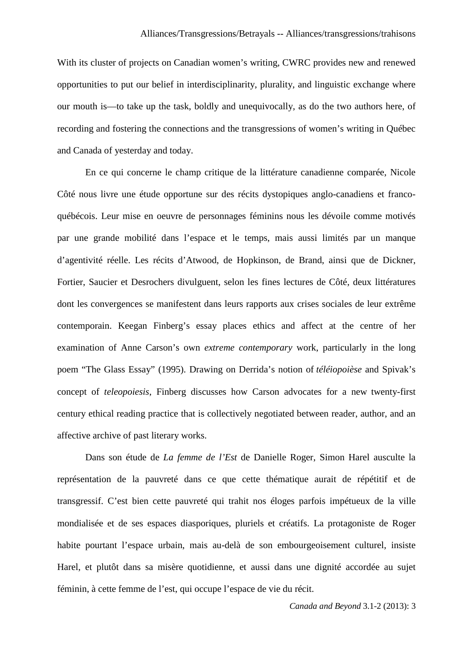With its cluster of projects on Canadian women's writing, CWRC provides new and renewed opportunities to put our belief in interdisciplinarity, plurality, and linguistic exchange where our mouth is—to take up the task, boldly and unequivocally, as do the two authors here, of recording and fostering the connections and the transgressions of women's writing in Québec and Canada of yesterday and today.

En ce qui concerne le champ critique de la littérature canadienne comparée, Nicole Côté nous livre une étude opportune sur des récits dystopiques anglo-canadiens et francoquébécois. Leur mise en oeuvre de personnages féminins nous les dévoile comme motivés par une grande mobilité dans l'espace et le temps, mais aussi limités par un manque d'agentivité réelle. Les récits d'Atwood, de Hopkinson, de Brand, ainsi que de Dickner, Fortier, Saucier et Desrochers divulguent, selon les fines lectures de Côté, deux littératures dont les convergences se manifestent dans leurs rapports aux crises sociales de leur extrême contemporain. Keegan Finberg's essay places ethics and affect at the centre of her examination of Anne Carson's own *extreme contemporary* work, particularly in the long poem "The Glass Essay" (1995). Drawing on Derrida's notion of *téléiopoièse* and Spivak's concept of *teleopoiesis*, Finberg discusses how Carson advocates for a new twenty-first century ethical reading practice that is collectively negotiated between reader, author, and an affective archive of past literary works.

Dans son étude de *La femme de l'Est* de Danielle Roger, Simon Harel ausculte la représentation de la pauvreté dans ce que cette thématique aurait de répétitif et de transgressif. C'est bien cette pauvreté qui trahit nos éloges parfois impétueux de la ville mondialisée et de ses espaces diasporiques, pluriels et créatifs. La protagoniste de Roger habite pourtant l'espace urbain, mais au-delà de son embourgeoisement culturel, insiste Harel, et plutôt dans sa misère quotidienne, et aussi dans une dignité accordée au sujet féminin, à cette femme de l'est, qui occupe l'espace de vie du récit.

*Canada and Beyond* 3.1-2 (2013): 3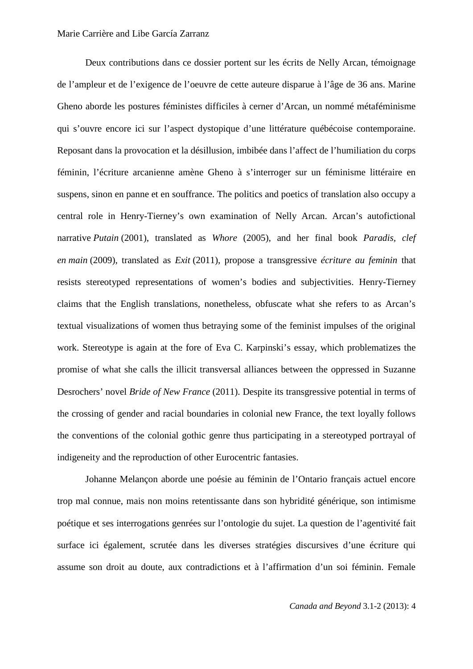Deux contributions dans ce dossier portent sur les écrits de Nelly Arcan, témoignage de l'ampleur et de l'exigence de l'oeuvre de cette auteure disparue à l'âge de 36 ans. Marine Gheno aborde les postures féministes difficiles à cerner d'Arcan, un nommé métaféminisme qui s'ouvre encore ici sur l'aspect dystopique d'une littérature québécoise contemporaine. Reposant dans la provocation et la désillusion, imbibée dans l'affect de l'humiliation du corps féminin, l'écriture arcanienne amène Gheno à s'interroger sur un féminisme littéraire en suspens, sinon en panne et en souffrance. The politics and poetics of translation also occupy a central role in Henry-Tierney's own examination of Nelly Arcan. Arcan's autofictional narrative *Putain* (2001), translated as *Whore* (2005), and her final book *Paradis, clef en main* (2009), translated as *Exit* (2011), propose a transgressive *écriture au feminin* that resists stereotyped representations of women's bodies and subjectivities. Henry-Tierney claims that the English translations, nonetheless, obfuscate what she refers to as Arcan's textual visualizations of women thus betraying some of the feminist impulses of the original work. Stereotype is again at the fore of Eva C. Karpinski's essay, which problematizes the promise of what she calls the illicit transversal alliances between the oppressed in Suzanne Desrochers' novel *Bride of New France* (2011). Despite its transgressive potential in terms of the crossing of gender and racial boundaries in colonial new France, the text loyally follows the conventions of the colonial gothic genre thus participating in a stereotyped portrayal of indigeneity and the reproduction of other Eurocentric fantasies.

Johanne Melançon aborde une poésie au féminin de l'Ontario français actuel encore trop mal connue, mais non moins retentissante dans son hybridité générique, son intimisme poétique et ses interrogations genrées sur l'ontologie du sujet. La question de l'agentivité fait surface ici également, scrutée dans les diverses stratégies discursives d'une écriture qui assume son droit au doute, aux contradictions et à l'affirmation d'un soi féminin. Female

*Canada and Beyond* 3.1-2 (2013): 4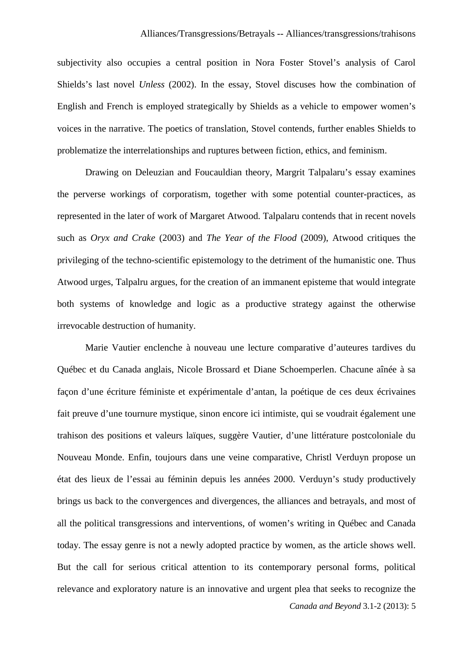subjectivity also occupies a central position in Nora Foster Stovel's analysis of Carol Shields's last novel *Unless* (2002). In the essay, Stovel discuses how the combination of English and French is employed strategically by Shields as a vehicle to empower women's voices in the narrative. The poetics of translation, Stovel contends, further enables Shields to problematize the interrelationships and ruptures between fiction, ethics, and feminism.

Drawing on Deleuzian and Foucauldian theory, Margrit Talpalaru's essay examines the perverse workings of corporatism, together with some potential counter-practices, as represented in the later of work of Margaret Atwood. Talpalaru contends that in recent novels such as *Oryx and Crake* (2003) and *The Year of the Flood* (2009), Atwood critiques the privileging of the techno-scientific epistemology to the detriment of the humanistic one. Thus Atwood urges, Talpalru argues, for the creation of an immanent episteme that would integrate both systems of knowledge and logic as a productive strategy against the otherwise irrevocable destruction of humanity.

*Canada and Beyond* 3.1-2 (2013): 5 Marie Vautier enclenche à nouveau une lecture comparative d'auteures tardives du Québec et du Canada anglais, Nicole Brossard et Diane Schoemperlen. Chacune aînée à sa façon d'une écriture féministe et expérimentale d'antan, la poétique de ces deux écrivaines fait preuve d'une tournure mystique, sinon encore ici intimiste, qui se voudrait également une trahison des positions et valeurs laïques, suggère Vautier, d'une littérature postcoloniale du Nouveau Monde. Enfin, toujours dans une veine comparative, Christl Verduyn propose un état des lieux de l'essai au féminin depuis les années 2000. Verduyn's study productively brings us back to the convergences and divergences, the alliances and betrayals, and most of all the political transgressions and interventions, of women's writing in Québec and Canada today. The essay genre is not a newly adopted practice by women, as the article shows well. But the call for serious critical attention to its contemporary personal forms, political relevance and exploratory nature is an innovative and urgent plea that seeks to recognize the